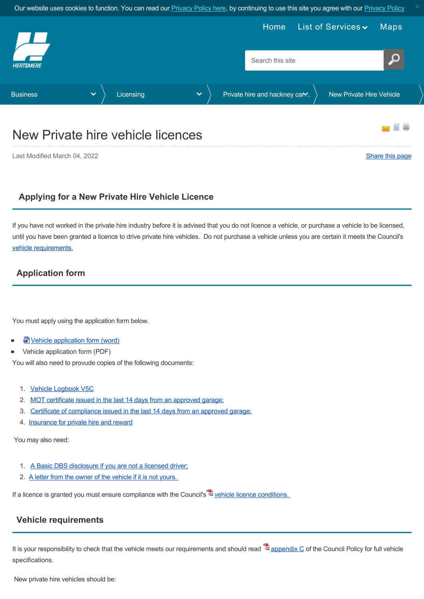<span id="page-0-1"></span>

# New Private hire vehicle licences

Last Modified March 04, 2022 [Share this page](http://www.addthis.com/bookmark.php?v=250&pubid=xa-502e5fd570edcb1e) of the state of the state of the state of the state of the state of the state of the state of the state of the state of the state of the state of the state of the state of the s

## **Applying for a New Private Hire Vehicle Licence**

If you have not worked in the private hire industry before it is advised that you do not licence a vehicle, or purchase a vehicle to be licensed, until you have been granted a licence to drive private hire vehicles. Do not purchase a vehicle unless you are certain it meets the Council's [vehicle requirements.](#page-0-0)

## **Application form**

You must apply using the application form below.

- [Vehicle application form \(word\)](https://www.hertsmere.gov.uk/Documents/02-Business/Licensing/Private-hire--Hackney-Carriage-Licensing/vehicle-application-form-final-2022.docx)
- Vehicle application form (PDF)

You will also need to provude copies of the following documents:

- 1. [Vehicle Logbook V5C](#page-1-0)
- 2. [MOT certificate issued in the last 14 days from an approved garage;](#page-1-1)
- 3. [Certificate of compliance issued in the last 14 days from an approved garage;](#page-1-1)
- 4. [Insurance for private hire and reward](#page-1-2)

You may also need:

- 1. [A Basic DBS disclosure if you are not a licensed driver;](#page-1-3)
- 2. A letter from the owner of the vehicle if it is not yours.

If a licence is granted you must ensure compliance with the Council's  $\mathbb{\Sigma}$  vehicle licence conditions.

## <span id="page-0-0"></span>**Vehicle requirements**

It is your responsibility to check that the vehicle meets our requirements and should read  $\mathbb{Z}$  [appendix C](https://www.hertsmere.gov.uk/Documents/02-Business/Licensing/Private-hire--Hackney-Carriage-Licensing/Appendix-C-vehicle-specs.pdf) of the Council Policy for full vehicle specifications.

New private hire vehicles should be: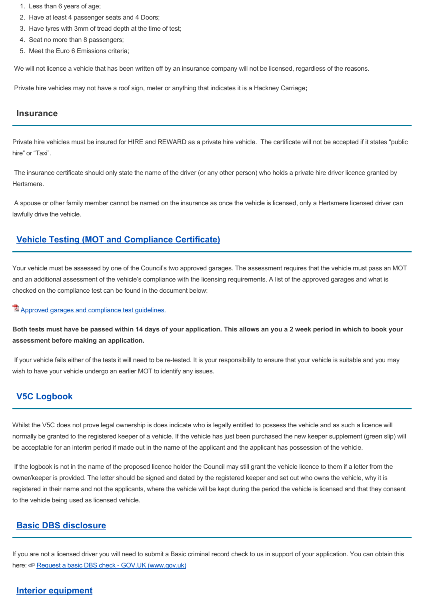- 1. Less than 6 years of age;
- 2. Have at least 4 passenger seats and 4 Doors;
- 3. Have tyres with 3mm of tread depth at the time of test;
- 4. Seat no more than 8 passengers;
- 5. Meet the Euro 6 Emissions criteria;

We will not licence a vehicle that has been written off by an insurance company will not be licensed, regardless of the reasons.

Private hire vehicles may not have a roof sign, meter or anything that indicates it is a Hackney Carriage**;**

#### <span id="page-1-2"></span>**Insurance**

Private hire vehicles must be insured for HIRE and REWARD as a private hire vehicle. The certificate will not be accepted if it states "public hire" or "Taxi".

 The insurance certificate should only state the name of the driver (or any other person) who holds a private hire driver licence granted by Hertsmere.

 A spouse or other family member cannot be named on the insurance as once the vehicle is licensed, only a Hertsmere licensed driver can lawfully drive the vehicle.

## <span id="page-1-1"></span>**Vehicle Testing (MOT and Compliance Certificate)**

Your vehicle must be assessed by one of the Council's two approved garages. The assessment requires that the vehicle must pass an MOT and an additional assessment of the vehicle's compliance with the licensing requirements. A list of the approved garages and what is checked on the compliance test can be found in the document below:

#### [Approved garages and compliance test guidelines.](https://www.hertsmere.gov.uk/Documents/02-Business/Licensing/Private-hire--Hackney-Carriage-Licensing/approved-MOT-garages.pdf)

**Both tests must have be passed within 14 days of your application. This allows an you a 2 week period in which to book your assessment before making an application.** 

 If your vehicle fails either of the tests it will need to be re-tested. It is your responsibility to ensure that your vehicle is suitable and you may wish to have your vehicle undergo an earlier MOT to identify any issues.

## <span id="page-1-0"></span>**V5C Logbook**

Whilst the V5C does not prove legal ownership is does indicate who is legally entitled to possess the vehicle and as such a licence will normally be granted to the registered keeper of a vehicle. If the vehicle has just been purchased the new keeper supplement (green slip) will be acceptable for an interim period if made out in the name of the applicant and the applicant has possession of the vehicle.

<span id="page-1-4"></span> If the logbook is not in the name of the proposed licence holder the Council may still grant the vehicle licence to them if a letter from the owner/keeper is provided. The letter should be signed and dated by the registered keeper and set out who owns the vehicle, why it is registered in their name and not the applicants, where the vehicle will be kept during the period the vehicle is licensed and that they consent to the vehicle being used as licensed vehicle.

### <span id="page-1-3"></span>**Basic DBS disclosure**

If you are not a licensed driver you will need to submit a Basic criminal record check to us in support of your application. You can obtain this here: **P** [Request a basic DBS check - GOV.UK \(www.gov.uk\)](https://www.gov.uk/request-copy-criminal-record)

## **Interior equipment**